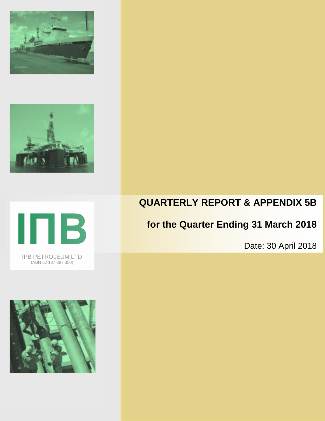





IPB PETROLEUM LTD (ABN 52 137 387 350)



# **QUARTERLY REPORT & APPENDIX 5B**

# **for the Quarter Ending 31 March 2018**

Date: 30 April 2018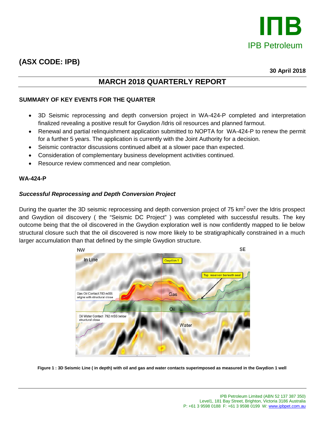

# **(ASX CODE: IPB)**

**30 April 2018**

# **MARCH 2018 QUARTERLY REPORT**

# **SUMMARY OF KEY EVENTS FOR THE QUARTER**

- 3D Seismic reprocessing and depth conversion project in WA-424-P completed and interpretation finalized revealing a positive result for Gwydion /Idris oil resources and planned farmout.
- Renewal and partial relinquishment application submitted to NOPTA for WA-424-P to renew the permit for a further 5 years. The application is currently with the Joint Authority for a decision.
- Seismic contractor discussions continued albeit at a slower pace than expected.
- Consideration of complementary business development activities continued.
- Resource review commenced and near completion.

#### **WA-424-P**

## *Successful Reprocessing and Depth Conversion Project*

During the quarter the 3D seismic reprocessing and depth conversion project of 75 km<sup>2</sup> over the Idris prospect and Gwydion oil discovery ( the "Seismic DC Project" ) was completed with successful results. The key outcome being that the oil discovered in the Gwydion exploration well is now confidently mapped to lie below structural closure such that the oil discovered is now more likely to be stratigraphically constrained in a much larger accumulation than that defined by the simple Gwydion structure.



**Figure 1 : 3D Seismic Line ( in depth) with oil and gas and water contacts superimposed as measured in the Gwydion 1 well**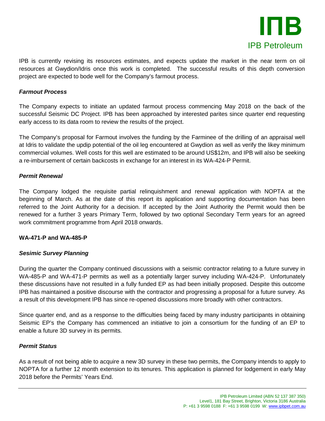

IPB is currently revising its resources estimates, and expects update the market in the near term on oil resources at Gwydion/Idris once this work is completed. The successful results of this depth conversion project are expected to bode well for the Company's farmout process.

## *Farmout Process*

The Company expects to initiate an updated farmout process commencing May 2018 on the back of the successful Seismic DC Project. IPB has been approached by interested parites since quarter end requesting early access to its data room to review the results of the project.

The Company's proposal for Farmout involves the funding by the Farminee of the drilling of an appraisal well at Idris to validate the updip potential of the oil leg encountered at Gwydion as well as verify the likey minimum commercial volumes. Well costs for this well are estimated to be around US\$12m, and IPB will also be seeking a re-imbursement of certain backcosts in exchange for an interest in its WA-424-P Permit.

## *Permit Renewal*

The Company lodged the requisite partial relinquishment and renewal application with NOPTA at the beginning of March. As at the date of this report its application and supporting documentation has been referred to the Joint Authority for a decision. If accepted by the Joint Authority the Permit would then be renewed for a further 3 years Primary Term, followed by two optional Secondary Term years for an agreed work commitment programme from April 2018 onwards.

## **WA-471-P and WA-485-P**

# *Sesimic Survey Planning*

During the quarter the Company continued discussions with a seismic contractor relating to a future survey in WA-485-P and WA-471-P permits as well as a potentially larger survey including WA-424-P. Unfortunately these discussions have not resulted in a fully funded EP as had been initially proposed. Despite this outcome IPB has maintained a positive discourse with the contractor and progressing a proposal for a future survey. As a result of this development IPB has since re-opened discussions more broadly with other contractors.

Since quarter end, and as a response to the difficulties being faced by many industry participants in obtaining Seismic EP's the Company has commenced an initiative to join a consortium for the funding of an EP to enable a future 3D survey in its permits.

## *Permit Status*

As a result of not being able to acquire a new 3D survey in these two permits, the Company intends to apply to NOPTA for a further 12 month extension to its tenures. This application is planned for lodgement in early May 2018 before the Permits' Years End.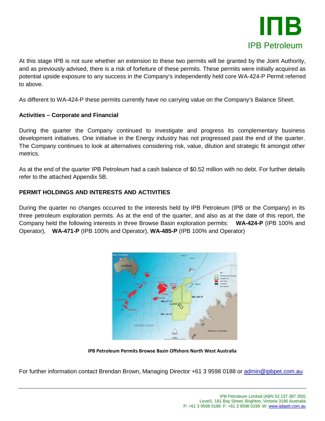

At this stage IPB is not sure whether an extension to these two permits will be granted by the Joint Authority, and as previously advised, there is a risk of forfeiture of these permits. These permits were initially acquired as potential upside exposure to any success in the Company's independently held core WA-424-P Permit referred to above.

As different to WA-424-P these permits currently have no carrying value on the Company's Balance Sheet.

# **Activities – Corporate and Financial**

During the quarter the Company continued to investigate and progress its complementary business development initiatives. One initiative in the Energy industry has not progressed past the end of the quarter. The Company continues to look at alternatives considering risk, value, dilution and strategic fit amongst other metrics.

As at the end of the quarter IPB Petroleum had a cash balance of \$0.52 million with no debt. For further details refer to the attached Appendix 5B.

# **PERMIT HOLDINGS AND INTERESTS AND ACTIVITIES**

During the quarter no changes occurred to the interests held by IPB Petroleum (IPB or the Company) in its three petroleum exploration permits. As at the end of the quarter, and also as at the date of this report, the Company held the following interests in three Browse Basin exploration permits: **WA-424-P** (IPB 100% and Operator), **WA-471-P** (IPB 100% and Operator), **WA-485-P** (IPB 100% and Operator)



**IPB Petroleum Permits Browse Basin Offshore North West Australia**

For further information contact Brendan Brown, Managing Director +61 3 9598 0188 or [admin@ipbpet.com.au](mailto:admin@ipbpet.com.au)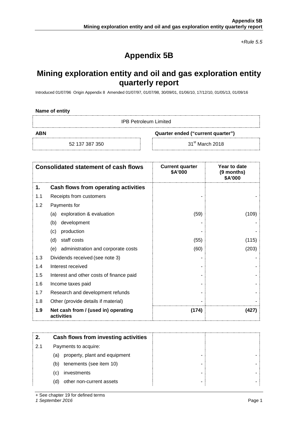*+Rule 5.5*

# **Appendix 5B**

# **Mining exploration entity and oil and gas exploration entity quarterly report**

Introduced 01/07/96 Origin Appendix 8 Amended 01/07/97, 01/07/98, 30/09/01, 01/06/10, 17/12/10, 01/05/13, 01/09/16

IPB Petroleum Limited

**ABN Quarter ended ("current quarter")**

52 137 387 350 31<sup>st</sup> March 2018

| <b>Consolidated statement of cash flows</b> |                                                   | <b>Current quarter</b><br>\$A'000 | Year to date<br>(9 months)<br>\$A'000 |
|---------------------------------------------|---------------------------------------------------|-----------------------------------|---------------------------------------|
| 1.                                          | Cash flows from operating activities              |                                   |                                       |
| 1.1                                         | Receipts from customers                           |                                   |                                       |
| 1.2                                         | Payments for                                      |                                   |                                       |
|                                             | exploration & evaluation<br>(a)                   | (59)                              | (109)                                 |
|                                             | development<br>(b)                                |                                   |                                       |
|                                             | production<br>(c)                                 |                                   |                                       |
|                                             | staff costs<br>(d)                                | (55)                              | (115)                                 |
|                                             | (e)<br>administration and corporate costs         | (60)                              | (203)                                 |
| 1.3                                         | Dividends received (see note 3)                   |                                   |                                       |
| 1.4                                         | Interest received                                 |                                   |                                       |
| 1.5                                         | Interest and other costs of finance paid          |                                   |                                       |
| 1.6                                         | Income taxes paid                                 |                                   |                                       |
| 1.7                                         | Research and development refunds                  |                                   |                                       |
| 1.8                                         | Other (provide details if material)               |                                   |                                       |
| 1.9                                         | Net cash from / (used in) operating<br>activities | (174)                             | (427)                                 |

| 2.  | Cash flows from investing activities |  |
|-----|--------------------------------------|--|
| 2.1 | Payments to acquire:                 |  |
|     | property, plant and equipment<br>(a) |  |
|     | tenements (see item 10)<br>(b)       |  |
|     | investments<br>(C)                   |  |
|     | other non-current assets<br>(d)      |  |

+ See chapter 19 for defined terms

*1 September 2016* Page 1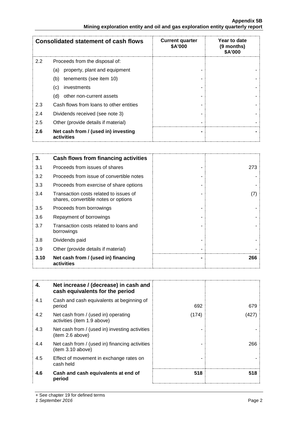#### **Appendix 5B Mining exploration entity and oil and gas exploration entity quarterly report**

| <b>Consolidated statement of cash flows</b> |                                                   | <b>Current quarter</b><br>\$A'000 | Year to date<br>(9 months)<br><b>\$A'000</b> |
|---------------------------------------------|---------------------------------------------------|-----------------------------------|----------------------------------------------|
| $2.2^{\circ}$                               | Proceeds from the disposal of:                    |                                   |                                              |
|                                             | property, plant and equipment<br>(a)              |                                   |                                              |
|                                             | tenements (see item 10)<br>(b)                    |                                   |                                              |
|                                             | investments<br>(c)                                |                                   |                                              |
|                                             | other non-current assets<br>(d)                   |                                   |                                              |
| 2.3                                         | Cash flows from loans to other entities           |                                   |                                              |
| 2.4                                         | Dividends received (see note 3)                   |                                   |                                              |
| 2.5                                         | Other (provide details if material)               |                                   |                                              |
| 2.6                                         | Net cash from / (used in) investing<br>activities |                                   |                                              |

| 3.   | Cash flows from financing activities                                           |     |
|------|--------------------------------------------------------------------------------|-----|
| 3.1  | Proceeds from issues of shares                                                 | 273 |
| 3.2  | Proceeds from issue of convertible notes                                       |     |
| 3.3  | Proceeds from exercise of share options                                        |     |
| 3.4  | Transaction costs related to issues of<br>shares, convertible notes or options | (7) |
| 3.5  | Proceeds from borrowings                                                       |     |
| 3.6  | Repayment of borrowings                                                        |     |
| 3.7  | Transaction costs related to loans and<br>borrowings                           |     |
| 3.8  | Dividends paid                                                                 |     |
| 3.9  | Other (provide details if material)                                            |     |
| 3.10 | Net cash from / (used in) financing<br>activities                              | 266 |

| 4.  | Net increase / (decrease) in cash and<br>cash equivalents for the period |       |      |
|-----|--------------------------------------------------------------------------|-------|------|
| 4.1 | Cash and cash equivalents at beginning of<br>period                      | 692   | 679  |
| 4.2 | Net cash from / (used in) operating<br>activities (item 1.9 above)       | (174) | '427 |
| 4.3 | Net cash from / (used in) investing activities<br>(item 2.6 above)       |       |      |
| 4.4 | Net cash from / (used in) financing activities<br>(item 3.10 above)      |       | 266  |
| 4.5 | Effect of movement in exchange rates on<br>cash held                     |       |      |
| 4.6 | Cash and cash equivalents at end of<br>period                            | 518   | 518  |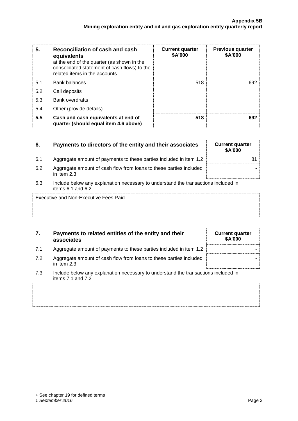| 5.  | Reconciliation of cash and cash<br>equivalents<br>at the end of the quarter (as shown in the<br>consolidated statement of cash flows) to the<br>related items in the accounts | <b>Current quarter</b><br>\$A'000 | <b>Previous quarter</b><br>\$A'000 |
|-----|-------------------------------------------------------------------------------------------------------------------------------------------------------------------------------|-----------------------------------|------------------------------------|
| 5.1 | Bank balances                                                                                                                                                                 | 518                               |                                    |
| 5.2 | Call deposits                                                                                                                                                                 |                                   |                                    |
| 5.3 | <b>Bank overdrafts</b>                                                                                                                                                        |                                   |                                    |
| 5.4 | Other (provide details)                                                                                                                                                       |                                   |                                    |
| 5.5 | Cash and cash equivalents at end of<br>quarter (should equal item 4.6 above)                                                                                                  | 518                               | 692                                |

# **6.** Payments to directors of the entity and their associates Current quarter

- 6.1 Aggregate amount of payments to these parties included in item 1.2
- 6.2 Aggregate amount of cash flow from loans to these parties included in item 2.3
- 6.3 Include below any explanation necessary to understand the transactions included in items 6.1 and 6.2

Executive and Non-Executive Fees Paid.

## **7. Payments to related entities of the entity and their associates**

- 7.1 Aggregate amount of payments to these parties included in item 1.2
- 7.2 Aggregate amount of cash flow from loans to these parties included in item 2.3
- 7.3 Include below any explanation necessary to understand the transactions included in items 7.1 and 7.2

#### *1 September 2016* Page 3

| <b>Current quarter</b><br>\$A'000 |  |
|-----------------------------------|--|
|                                   |  |
|                                   |  |
|                                   |  |

| <b>\$A'000</b>                 |    |
|--------------------------------|----|
|                                | 81 |
|                                |    |
| ومنازلها والمستعاري وبالمستحدث |    |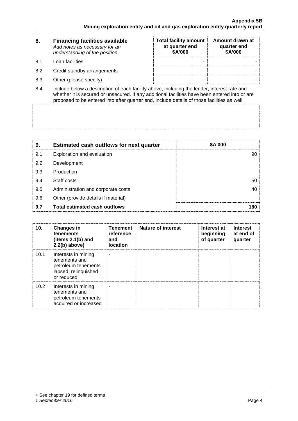| 8.   | <b>Financing facilities available</b><br>Add notes as necessary for an<br>understanding of the position | <b>Total facility amount</b><br>at quarter end<br><b>\$A'000</b> | Amount drawn at<br>quarter end<br>\$A'000 |
|------|---------------------------------------------------------------------------------------------------------|------------------------------------------------------------------|-------------------------------------------|
| -8.1 | Loan facilities                                                                                         |                                                                  |                                           |
| 8.2  | Credit standby arrangements                                                                             | -                                                                |                                           |

- 8.3 Other (please specify) and the set of the set of the set of the set of the set of the set of the set of the set of the set of the set of the set of the set of the set of the set of the set of the set of the set of the
- 8.4 Include below a description of each facility above, including the lender, interest rate and whether it is secured or unsecured. If any additional facilities have been entered into or are proposed to be entered into after quarter end, include details of those facilities as well.

| 9.  | <b>Estimated cash outflows for next quarter</b> | <b>\$A'000</b> |
|-----|-------------------------------------------------|----------------|
| 9.1 | Exploration and evaluation                      |                |
| 9.2 | Development                                     |                |
| 9.3 | Production                                      |                |
| 9.4 | Staff costs                                     |                |
| 9.5 | Administration and corporate costs              |                |
| 9.6 | Other (provide details if material)             |                |
| 9.7 | <b>Total estimated cash outflows</b>            |                |

| 10.               | <b>Changes in</b><br>tenements<br>(items $2.1(b)$ and<br>$2.2(b)$ above)                          | <b>Tenement</b><br>reference<br>and<br><b>location</b> | <b>Nature of interest</b> | Interest at<br>beginning<br>of quarter | <b>Interest</b><br>at end of<br>quarter |
|-------------------|---------------------------------------------------------------------------------------------------|--------------------------------------------------------|---------------------------|----------------------------------------|-----------------------------------------|
| 10.1              | Interests in mining<br>tenements and<br>petroleum tenements<br>lapsed, relinquished<br>or reduced |                                                        |                           |                                        |                                         |
| 10.2 <sub>2</sub> | Interests in mining<br>tenements and<br>petroleum tenements<br>acquired or increased              |                                                        |                           |                                        |                                         |